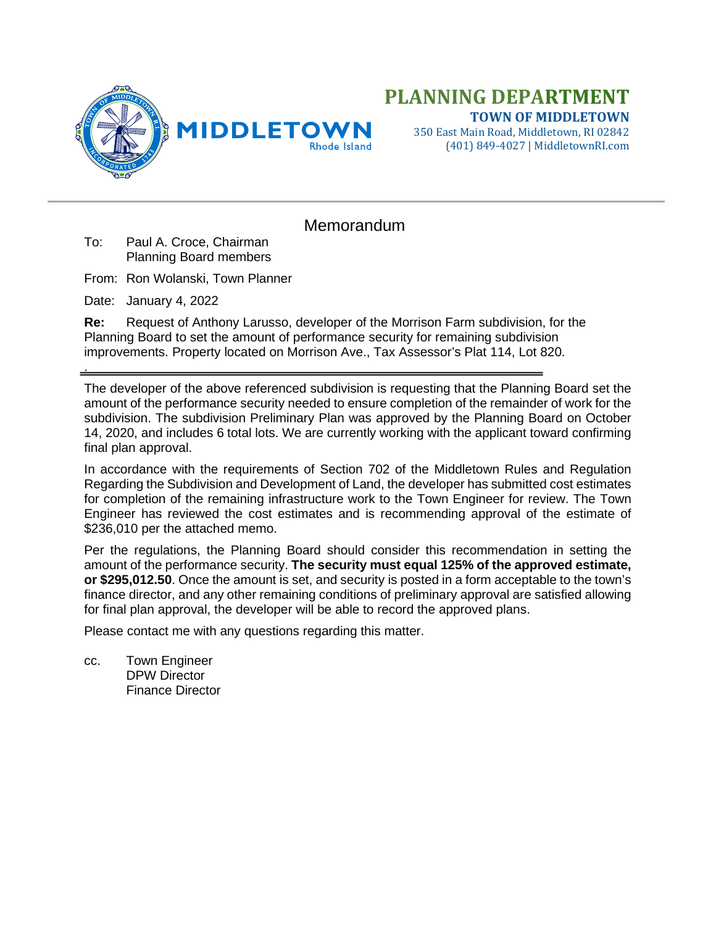

## **PLANNING DEPARTMENT TOWN OF MIDDLETOWN**

350 East Main Road, Middletown, RI 02842 (401) 849-4027 | MiddletownRI.com

## Memorandum

- To: Paul A. Croce, Chairman Planning Board members
- From: Ron Wolanski, Town Planner
- Date: January 4, 2022

.

**Re:** Request of Anthony Larusso, developer of the Morrison Farm subdivision, for the Planning Board to set the amount of performance security for remaining subdivision improvements. Property located on Morrison Ave., Tax Assessor's Plat 114, Lot 820.

The developer of the above referenced subdivision is requesting that the Planning Board set the amount of the performance security needed to ensure completion of the remainder of work for the subdivision. The subdivision Preliminary Plan was approved by the Planning Board on October 14, 2020, and includes 6 total lots. We are currently working with the applicant toward confirming final plan approval.

In accordance with the requirements of Section 702 of the Middletown Rules and Regulation Regarding the Subdivision and Development of Land, the developer has submitted cost estimates for completion of the remaining infrastructure work to the Town Engineer for review. The Town Engineer has reviewed the cost estimates and is recommending approval of the estimate of \$236,010 per the attached memo.

Per the regulations, the Planning Board should consider this recommendation in setting the amount of the performance security. **The security must equal 125% of the approved estimate, or \$295,012.50**. Once the amount is set, and security is posted in a form acceptable to the town's finance director, and any other remaining conditions of preliminary approval are satisfied allowing for final plan approval, the developer will be able to record the approved plans.

Please contact me with any questions regarding this matter.

cc. Town Engineer DPW Director Finance Director